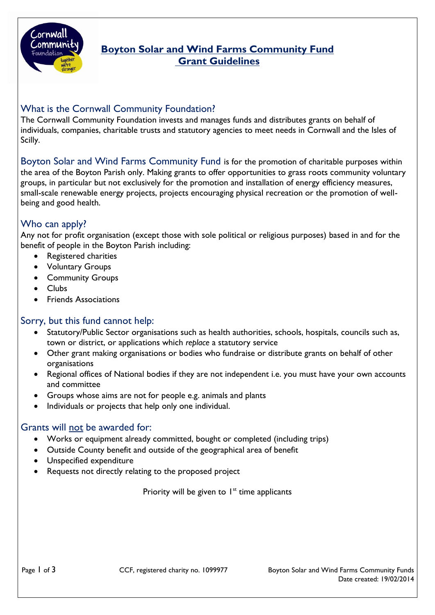

# **Boyton Solar and Wind Farms Community Fund Grant Guidelines**

# What is the Cornwall Community Foundation?

The Cornwall Community Foundation invests and manages funds and distributes grants on behalf of individuals, companies, charitable trusts and statutory agencies to meet needs in Cornwall and the Isles of Scilly.

Boyton Solar and Wind Farms Community Fund is for the promotion of charitable purposes within the area of the Boyton Parish only. Making grants to offer opportunities to grass roots community voluntary groups, in particular but not exclusively for the promotion and installation of energy efficiency measures, small-scale renewable energy projects, projects encouraging physical recreation or the promotion of wellbeing and good health.

# Who can apply?

Any not for profit organisation (except those with sole political or religious purposes) based in and for the benefit of people in the Boyton Parish including:

- Registered charities
- Voluntary Groups
- Community Groups
- Clubs
- Friends Associations

### Sorry, but this fund cannot help:

- Statutory/Public Sector organisations such as health authorities, schools, hospitals, councils such as, town or district, or applications which *replace* a statutory service
- Other grant making organisations or bodies who fundraise or distribute grants on behalf of other organisations
- Regional offices of National bodies if they are not independent i.e. you must have your own accounts and committee
- Groups whose aims are not for people e.g. animals and plants
- Individuals or projects that help only one individual.

# Grants will not be awarded for:

- Works or equipment already committed, bought or completed (including trips)
- Outside County benefit and outside of the geographical area of benefit
- Unspecified expenditure
- Requests not directly relating to the proposed project

Priority will be given to  $1<sup>st</sup>$  time applicants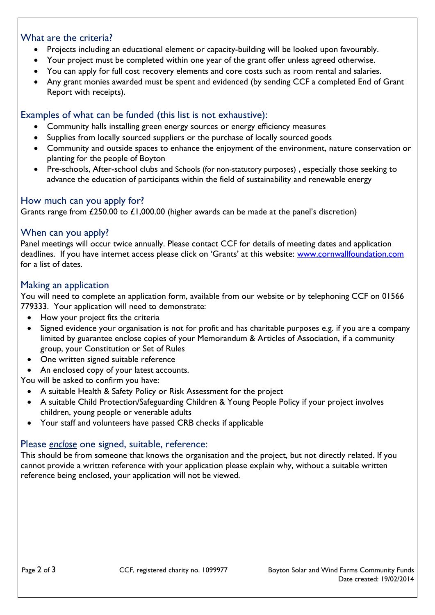### What are the criteria?

- Projects including an educational element or capacity-building will be looked upon favourably.
- Your project must be completed within one year of the grant offer unless agreed otherwise.
- You can apply for full cost recovery elements and core costs such as room rental and salaries.
- Any grant monies awarded must be spent and evidenced (by sending CCF a completed End of Grant Report with receipts).

# Examples of what can be funded (this list is not exhaustive):

- Community halls installing green energy sources or energy efficiency measures
- Supplies from locally sourced suppliers or the purchase of locally sourced goods
- Community and outside spaces to enhance the enjoyment of the environment, nature conservation or planting for the people of Boyton
- Pre-schools, After-school clubs and Schools (for non-statutory purposes) , especially those seeking to advance the education of participants within the field of sustainability and renewable energy

# How much can you apply for?

Grants range from £250.00 to £1,000.00 (higher awards can be made at the panel's discretion)

## When can you apply?

Panel meetings will occur twice annually. Please contact CCF for details of meeting dates and application deadlines. If you have internet access please click on 'Grants' at this website: [www.cornwallfoundation.com](http://www.cornwallfoundation.com/) for a list of dates.

## Making an application

You will need to complete an application form, available from our website or by telephoning CCF on 01566 779333. Your application will need to demonstrate:

- How your project fits the criteria
- Signed evidence your organisation is not for profit and has charitable purposes e.g. if you are a company limited by guarantee enclose copies of your Memorandum & Articles of Association, if a community group, your Constitution or Set of Rules
- One written signed suitable reference
- An enclosed copy of your latest accounts.

You will be asked to confirm you have:

- A suitable Health & Safety Policy or Risk Assessment for the project
- A suitable Child Protection/Safeguarding Children & Young People Policy if your project involves children, young people or venerable adults
- Your staff and volunteers have passed CRB checks if applicable

# Please *enclose* one signed, suitable, reference:

This should be from someone that knows the organisation and the project, but not directly related. If you cannot provide a written reference with your application please explain why, without a suitable written reference being enclosed, your application will not be viewed.